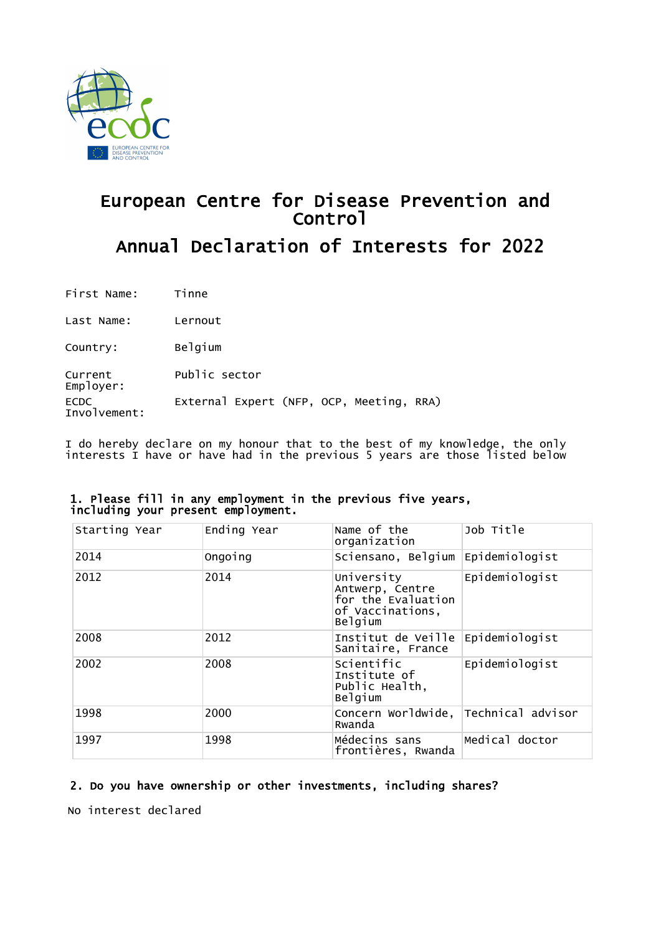

# European Centre for Disease Prevention and Control Annual Declaration of Interests for 2022

First Name: Tinne

Last Name: Lernout

Country: Belgium

Current Employer: Public sector ECDC Involvement: External Expert (NFP, OCP, Meeting, RRA)

I do hereby declare on my honour that to the best of my knowledge, the only interests I have or have had in the previous 5 years are those listed below

| Starting Year | Ending Year | Name of the<br>organization                                                        | Job Title         |
|---------------|-------------|------------------------------------------------------------------------------------|-------------------|
| 2014          | Ongoing     | Sciensano, Belgium                                                                 | Epidemiologist    |
| 2012          | 2014        | University<br>Antwerp, Centre<br>for the Evaluation<br>of Vaccinations,<br>Belgium | Epidemiologist    |
| 2008          | 2012        | Institut de Veille<br>Sanitaire, France                                            | Epidemiologist    |
| 2002          | 2008        | Scientific<br>Institute of<br>Public Health,<br>Belgium                            | Epidemiologist    |
| 1998          | 2000        | Concern Worldwide,<br>Rwanda                                                       | Technical advisor |
| 1997          | 1998        | Médecins sans<br>frontières, Rwanda                                                | Medical doctor    |

### 1. Please fill in any employment in the previous five years, including your present employment.

# 2. Do you have ownership or other investments, including shares?

No interest declared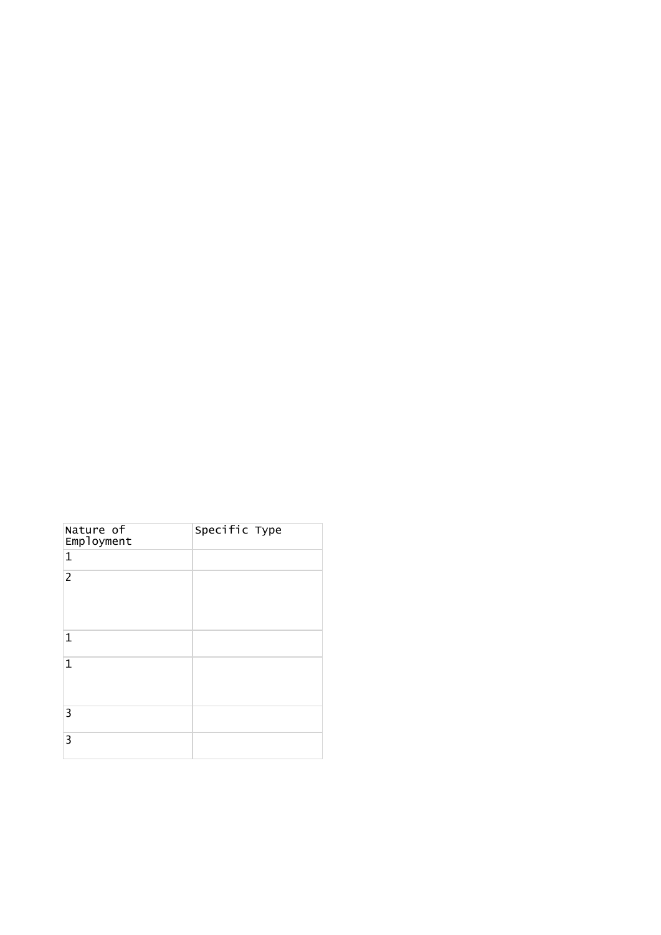| Nature of<br>Employment | Specific Type |
|-------------------------|---------------|
| $\mathbf 1$             |               |
| $\overline{2}$          |               |
| 1                       |               |
| $\mathbf{1}$            |               |
| 3                       |               |
| 3                       |               |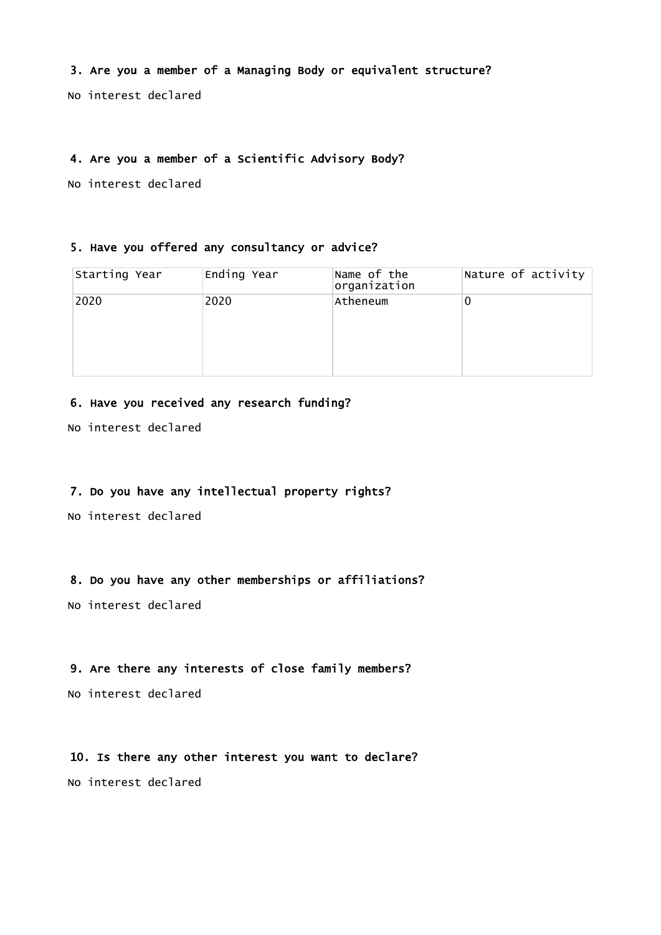## 3. Are you a member of a Managing Body or equivalent structure?

No interest declared

#### 4. Are you a member of a Scientific Advisory Body?

No interest declared

#### 5. Have you offered any consultancy or advice?

| Starting Year | Ending Year | Name of the<br>organization | Nature of activity |
|---------------|-------------|-----------------------------|--------------------|
| 2020          | 2020        | Atheneum                    | 0                  |

## 6. Have you received any research funding?

No interest declared

# 7. Do you have any intellectual property rights?

No interest declared

## 8. Do you have any other memberships or affiliations?

No interest declared

## 9. Are there any interests of close family members?

No interest declared

### 10. Is there any other interest you want to declare?

No interest declared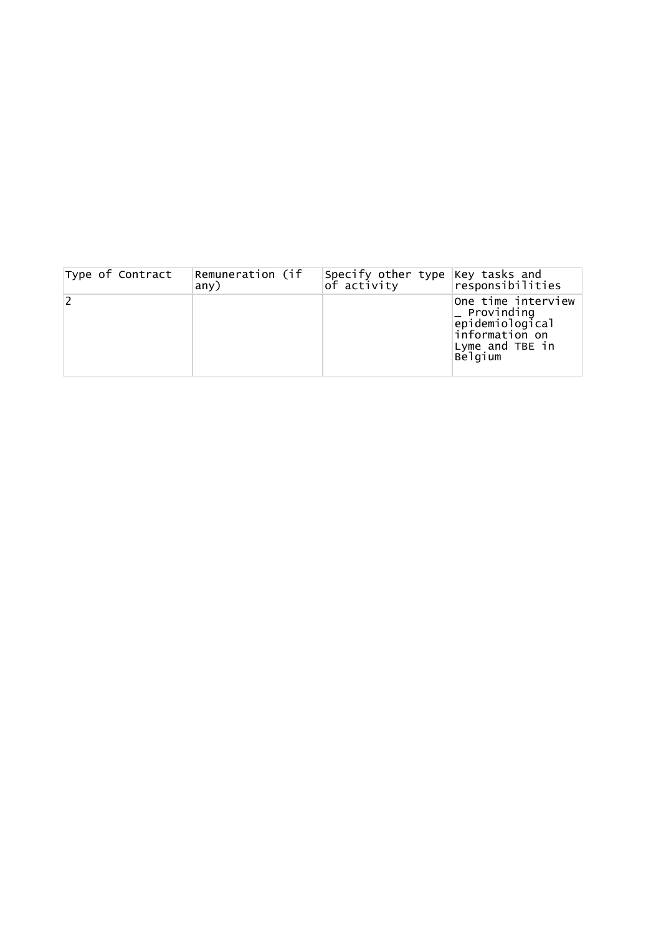| Type of Contract | Remuneration (if<br>any) | Specify other type Key tasks and<br>of activity | responsibilities                                                                                                  |
|------------------|--------------------------|-------------------------------------------------|-------------------------------------------------------------------------------------------------------------------|
|                  |                          |                                                 | One time interview<br>$\mathsf{\_}$ Provinding<br>epidemiological<br>information on<br>Lyme and TBE in<br>Belgium |